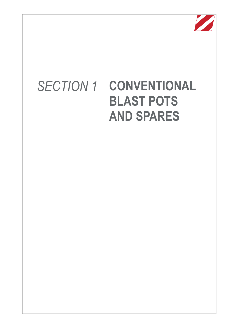

# *SECTION 1* **CONVENTIONAL BLAST POTS AND SPARES**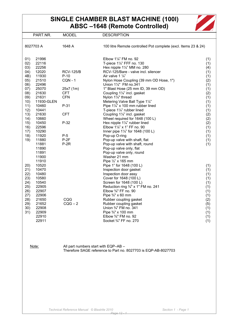## **SINGLE CHAMBER BLAST MACHINE (100l) ABSC –1648 (Remote Controlled)**



|                                                                                                                                                                                                              | PART.NR.                                                                                                                                                                                                                                                                                                            | <b>MODEL</b>                                                                                                                                           | <b>DESCRIPTION</b>                                                                                                                                                                                                                                                                                                                                                                                                                                                                                                                                                                                                                                                                                                                                                                                                                                                                                                                                                                                                                            |                                                                                                                                                                                                                |
|--------------------------------------------------------------------------------------------------------------------------------------------------------------------------------------------------------------|---------------------------------------------------------------------------------------------------------------------------------------------------------------------------------------------------------------------------------------------------------------------------------------------------------------------|--------------------------------------------------------------------------------------------------------------------------------------------------------|-----------------------------------------------------------------------------------------------------------------------------------------------------------------------------------------------------------------------------------------------------------------------------------------------------------------------------------------------------------------------------------------------------------------------------------------------------------------------------------------------------------------------------------------------------------------------------------------------------------------------------------------------------------------------------------------------------------------------------------------------------------------------------------------------------------------------------------------------------------------------------------------------------------------------------------------------------------------------------------------------------------------------------------------------|----------------------------------------------------------------------------------------------------------------------------------------------------------------------------------------------------------------|
| 8027703 A                                                                                                                                                                                                    |                                                                                                                                                                                                                                                                                                                     | 1648 A                                                                                                                                                 | 100 litre Remote controlled Pot complete (excl. Items 23 & 24)                                                                                                                                                                                                                                                                                                                                                                                                                                                                                                                                                                                                                                                                                                                                                                                                                                                                                                                                                                                |                                                                                                                                                                                                                |
| 01)<br>02)<br>(03)<br>(04)<br>4B)<br>05)<br>06)<br>07)<br>(80)<br>09)<br>10)<br>11)<br>12)<br>13)<br>(14)<br>15)<br>16)<br>17)<br>18)<br>19)<br>20)<br>21)<br>22)<br>23)<br>24)<br>25)<br>26)<br>(27)<br>28) | 21996<br>22116<br>22256<br>12020<br>11930<br>21510<br>22496<br>25070<br>21630<br>21631<br>11930-GLEN<br>10460<br>10441<br>21630<br>10660<br>10450<br>22596<br>10290<br>11920<br>11880<br>11881<br>11890<br>11891<br>11900<br>11910<br>10520<br>10470<br>10480<br>10580<br>10540<br>22905<br>22907<br>22906<br>21650 | <b>RCV-125/B</b><br>$P-10$<br>$CQN - 1$<br>25x7 (1m)<br><b>CFT</b><br><b>CFN</b><br>$P-31$<br><b>CFT</b><br>$P-32$<br>$P-5$<br>$P-2F$<br>$P-2R$<br>CQG | Elbow 11/4" FM no. 92<br>T-piece 11/4" FFF no. 130<br>Hex nipple 11/4" MM no. 280<br>RCV-125/Bare - valve incl. silencer<br>Air valve 1 $\frac{1}{4}$ "<br>Nylon Hose Coupling (39 mm OD Hose, 1")<br>Union 11/4" FM no.341<br>1" Blast Hose (25 mm ID, 39 mm OD)<br>Coupling 11/4" incl. gasket<br>Nylon 11/4" thread<br>Metering Valve Ball Type 11/4"<br>Pipe 11/4" x 100 mm rubber lined<br>T-piece 11/4" rubber lined<br>Coupling 11/4" incl. gasket<br>Wheel required for 1648 (100 L)<br>Hex nipple 11/4" rubber lined<br>Elbow 11/4" x 1" FF no. 90<br>Inner pipe 11/4" for 1648 (100 L)<br>Pop-up O-ring<br>Pop-up valve with shaft, flat<br>Pop-up valve with shaft, round<br>Pop-up valve only, flat<br>Pop-up valve only, round<br>Washer 21 mm<br>Pipe 1/2" x 165 mm<br>Pipe 1" for 1648 (100 L)<br>Inspection door gasket<br>Inspection door assy<br>Cover for 1648 (100 L)<br>Screen for 1648 (100 L)<br>Reduction ring 3/4" x 1" FM no. 241<br>Elbow 3/4" FF no. 90<br>Pipe $\frac{3}{4}$ " x 60 mm<br>Rubber coupling gasket | (1)<br>(1)<br>(4)<br>(1)<br>(1)<br>(2)<br>(1)<br>(1)<br>(2)<br>(1)<br>(1)<br>(1)<br>(1)<br>(2)<br>(2)<br>(2)<br>(1)<br>(1)<br>(1)<br>(1)<br>(1)<br>(1)<br>(1)<br>(1)<br>(1)<br>(1)<br>(1)<br>(1)<br>(1)<br>(2) |
| 29)<br>21652<br>30)<br>22908<br>31)<br>22909<br>22910<br>22911<br>Note:                                                                                                                                      |                                                                                                                                                                                                                                                                                                                     | $CQG - 2$<br>All part numbers start with EQP-AB -                                                                                                      | Rubber coupling gasket<br>Union 3/4" FM no. 341<br>Pipe 3/4" x 100 mm<br>Elbow $\frac{3}{4}$ " FM no. 92<br>Socket 3/4" FF no. 270<br>Therefore SAGE reference to Part no. 8027703 is EQP-AB-8027703                                                                                                                                                                                                                                                                                                                                                                                                                                                                                                                                                                                                                                                                                                                                                                                                                                          | (5)<br>(1)<br>(1)<br>(1)<br>(1)                                                                                                                                                                                |
|                                                                                                                                                                                                              |                                                                                                                                                                                                                                                                                                                     |                                                                                                                                                        |                                                                                                                                                                                                                                                                                                                                                                                                                                                                                                                                                                                                                                                                                                                                                                                                                                                                                                                                                                                                                                               |                                                                                                                                                                                                                |

*Technical Reference Manual © Blastrite 2010 Section 1 - Page 1 Page 12 - 1*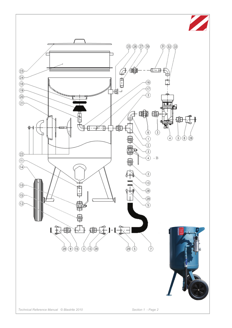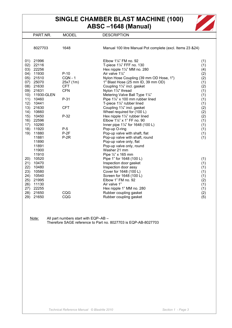## **SINGLE CHAMBER BLAST MACHINE (100l) ABSC –1648 (Manual)**



|            | PART.NR.       | <b>MODEL</b> | <b>DESCRIPTION</b>                                         |            |
|------------|----------------|--------------|------------------------------------------------------------|------------|
|            |                |              |                                                            |            |
|            | 8027703        | 1648         | Manual 100 litre Manual Pot complete (excl. Items 23 & 24) |            |
| 01)        | 21996          |              | Elbow 11/4" FM no. 92                                      | (1)        |
| 02)        | 22116          |              | T-piece 11/4" FFF no. 130                                  | (1)        |
| 03)        | 22256          |              | Hex nipple 11/4" MM no. 280                                | (4)        |
| (04)       | 11930          | $P-10$       | Air valve 11/4"                                            | (2)        |
| 05)        | 21510          | $CQN - 1$    | Nylon Hose Coupling (39 mm OD Hose, 1")                    | (2)        |
| 07)        | 25070          | 25x7 (1m)    | 1" Blast Hose (25 mm ID, 39 mm OD)                         | (1)        |
| (80)       | 21630          | <b>CFT</b>   | Coupling 11/4" incl. gasket                                | (2)        |
| (09)       | 21631          | <b>CFN</b>   | Nylon 11/4" thread                                         | (1)        |
| 10)        | 11930-GLEN     |              | Metering Valve Ball Type 11/4"                             | (1)        |
| 11)        | 10460          | $P-31$       | Pipe 11/4" x 100 mm rubber lined                           | (1)        |
| 12)        | 10441          |              | T-piece 11/4" rubber lined                                 | (1)        |
| 13)        | 21630          | <b>CFT</b>   | Coupling 11/4" incl. gasket                                | (2)        |
| 14)        | 10660          |              | Wheel required for (100 L)                                 | (2)        |
| 15)        | 10450          | $P-32$       | Hex nipple 11/4" rubber lined                              | (2)        |
| 16)        | 22596          |              | Elbow 11/4" x 1" FF no. 90                                 | (1)        |
| 17)        | 10290          |              | Inner pipe $1\frac{1}{4}$ " for 1648 (100 L)               | (1)        |
| 18)        | 11920          | $P-5$        | Pop-up O-ring                                              | (1)        |
| 19)        | 11880          | $P-2F$       | Pop-up valve with shaft, flat                              | (1)        |
|            | 11881          | $P-2R$       | Pop-up valve with shaft, round                             | (1)        |
|            | 11890          |              | Pop-up valve only, flat                                    |            |
|            | 11891          |              | Pop-up valve only, round                                   |            |
|            | 11900          |              | Washer 21 mm                                               |            |
|            | 11910          |              | Pipe 1/2" x 165 mm                                         |            |
| 20)        | 10520          |              | Pipe 1" for 1648 (100 L)                                   | (1)        |
| 21)        | 10470          |              | Inspection door gasket                                     | (1)        |
| 22)        | 10480          |              | Inspection door assy                                       | (1)        |
| 23)<br>24) | 10580<br>10540 |              | Cover for 1648 (100 L)<br>Screen for 1648 (100 L)          | (1)        |
| 25)        | 21995          |              | Elbow 1" FM no. 92                                         | (1)        |
| 26)        | 11130          |              | Air valve 1"                                               | (2)        |
| 27)        | 22255          |              | Hex nipple 1" MM no. 280                                   | (1)        |
| 28)        | 21650          | CQG          | Rubber coupling gasket                                     | (1)        |
| 29)        | 21650          | CQG          | Rubber coupling gasket                                     | (2)<br>(5) |
|            |                |              |                                                            |            |
|            |                |              |                                                            |            |

Note: All part numbers start with EQP-AB -Therefore SAGE reference to Part no. 8027703 is EQP-AB-8027703

*Technical Reference Manual © Blastrite 2010 Section 1 - Page 3*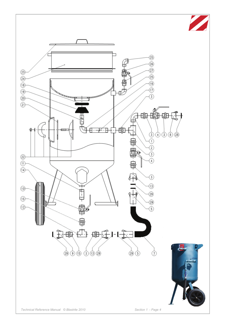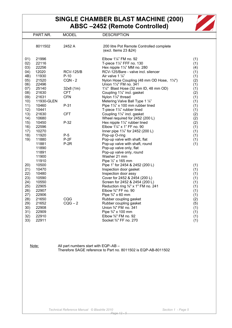## **SINGLE CHAMBER BLAST MACHINE (200l) ABSC –2452 (Remote Controlled)**



|            | PART.NR.       | <b>MODEL</b>     | <b>DESCRIPTION</b>                                        |            |
|------------|----------------|------------------|-----------------------------------------------------------|------------|
|            |                |                  |                                                           |            |
|            | 8011502        | 2452 A           | 200 litre Pot Remote Controlled complete                  |            |
|            |                |                  | (excl. Items 23 & 24)                                     |            |
| 01)        | 21996          |                  | Elbow 11/4" FM no. 92                                     | (1)        |
| 02)        | 22116          |                  | T-piece 11/4" FFF no. 130                                 | (1)        |
| (03)       | 22256          |                  | Hex nipple $1\frac{1}{4}$ " MM no. 280                    | (4)        |
| (04)       | 12020          | <b>RCV-125/B</b> | RCV-125/Bare - valve incl. silencer                       | (1)        |
| 4B)        | 11930          | $P-10$           | Air valve 1 $\frac{1}{4}$ "                               | (1)        |
| 05)        | 21520          | $CQN - 2$        | Nylon Hose Coupling (48 mm OD Hose, 11/4")                | (2)        |
| (06)       | 22496          |                  | Union 11/4" FM no. 341                                    | (1)        |
| (07)       | 25140          | 32x8 (1m)        | 11/4" Blast Hose (32 mm ID, 48 mm OD)                     | (1)        |
| (80)       | 21630          | <b>CFT</b>       | Coupling 11/4" incl. gasket                               | (2)        |
| (09)       | 21631          | <b>CFN</b>       | Nylon 11/4" thread                                        | (1)        |
| 10)        | 11930-GLEN     |                  | Metering Valve Ball Type 1 1/4"                           | (1)        |
| 11)        | 10460          | P-31             | Pipe 11/4" x 100 mm rubber lined                          | (1)        |
| 12)<br>13) | 10441<br>21630 | <b>CFT</b>       | T-piece 11/4" rubber lined<br>Coupling 11/4" incl. gasket | (1)        |
| 14)        | 10680          |                  | Wheel required for 2452 (200 L)                           | (2)<br>(2) |
| 15)        | 10450          | $P-32$           | Hex nipple 11/4" rubber lined                             | (2)        |
| 16)        | 22596          |                  | Elbow 11/4" x 1" FF no. 90                                | (1)        |
| 17)        | 10270          |                  | Inner pipe 11/4" for 2452 (200 L)                         | (1)        |
| 18)        | 11920          | $P-5$            | Pop-up O-ring                                             | (1)        |
| 19)        | 11880          | $P-2F$           | Pop-up valve with shaft, flat                             | (1)        |
|            | 11881          | $P-2R$           | Pop-up valve with shaft, round                            | (1)        |
|            | 11890          |                  | Pop-up valve only, flat                                   |            |
|            | 11891          |                  | Pop-up valve only, round                                  |            |
|            | 11900          |                  | Washer 21 mm                                              |            |
|            | 11910          |                  | Pipe 1/2" x 165 mm                                        |            |
| 20)        | 10500          |                  | Pipe 1" for 2454 & 2452 (200 L)                           | (1)        |
| 21)        | 10470          |                  | Inspection door gasket                                    | (1)        |
| 22)        | 10480          |                  | Inspection door assy                                      | (1)        |
| 23)        | 10590          |                  | Cover for 2452 & 2454 (200 L)                             | (1)        |
| 24)        | 10550          |                  | Screen for 2452 & 2454 (200 L)                            | (1)        |
| 25)        | 22905          |                  | Reduction ring 3/4" x 1" FM no. 241                       | (1)        |
| 26)        | 22907          |                  | Elbow 3/4" FF no. 90                                      | (1)        |
| 27)        | 22906          |                  | Pipe $\frac{3}{4}$ " x 60 mm                              | (1)        |
| 28)        | 21650          | CQG              | Rubber coupling gasket                                    | (2)        |
| 29)        | 21652          | $CQG - 2$        | Rubber coupling gasket                                    | (5)        |
| 30)        | 22908          |                  | Union 3/4" FM no. 341                                     | (1)        |
| 31)        | 22909          |                  | Pipe 3/4" x 100 mm                                        | (1)        |
| 32)        | 22910          |                  | Elbow 3/4" FM no. 92                                      | (1)        |
| 33)        | 22911          |                  | Socket 3/4" FF no. 270                                    | (1)        |
|            |                |                  |                                                           |            |
|            |                |                  |                                                           |            |
|            |                |                  |                                                           |            |
|            |                |                  |                                                           |            |

 Note: All part numbers start with EQP–AB – Therefore SAGE reference to Part no. 8011502 is EQP-AB-8011502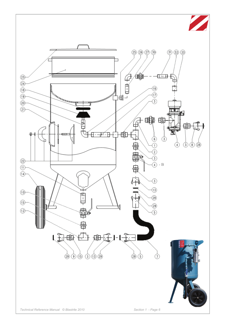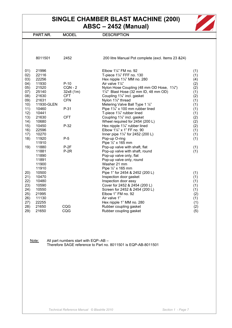## **SINGLE CHAMBER BLAST MACHINE (200l) ABSC – 2452 (Manual)**



|            | PART.NR.       | <b>MODEL</b> | <b>DESCRIPTION</b>                                 |            |
|------------|----------------|--------------|----------------------------------------------------|------------|
|            |                |              |                                                    |            |
|            |                |              |                                                    |            |
|            | 8011501        | 2452         | 200 litre Manual Pot complete (excl. Items 23 &24) |            |
|            |                |              |                                                    |            |
| 01)        | 21996          |              | Elbow 11/4" FM no. 92                              | (1)        |
| 02)        | 22116          |              | T-piece 11/4" FFF no. 130                          | (1)        |
| 03)        | 22256          |              | Hex nipple 11/4" MM no. 280                        | (4)        |
| (04)       | 11930          | $P-10$       | Air valve 11/4"                                    | (2)        |
| 05)        | 21520          | $CQN - 2$    | Nylon Hose Coupling (48 mm OD Hose, 11/4")         | (2)        |
| 07)        | 25140          | 32x8(1m)     | 1¼" Blast Hose (32 mm ID, 48 mm OD)                | (1)        |
| (08)       | 21630          | <b>CFT</b>   | Coupling 11/4" incl. gasket                        | (2)        |
| (09)       | 21631          | <b>CFN</b>   | Nylon 11/4" thread                                 | (1)        |
| 10)        | 11930-GLEN     |              | Metering Valve Ball Type 1 1/4"                    | (1)        |
| 11)        | 10460          | $P-31$       | Pipe 11/4" x 100 mm rubber lined                   | (1)        |
| 12)        | 10441          |              | T-piece 11/4" rubber lined                         | (1)        |
| 13)        | 21630          | <b>CFT</b>   | Coupling 11/4" incl. gasket                        | (2)        |
| (14)       | 10680          |              | Wheel required for 2454 (200 L)                    | (2)        |
| 15)        | 10450          | $P-32$       | Hex nipple 11/4" rubber lined                      | (2)        |
| 16)        | 22596          |              | Elbow 11/4" x 1" FF no. 90                         | (1)        |
| 17)<br>18) | 10270<br>11920 | $P-5$        | Inner pipe 11/4" for 2452 (200 L)<br>Pop-up O-ring | (1)        |
|            | 11910          |              | Pipe 1/2" x 165 mm                                 | (1)        |
|            | 11880          | $P-2F$       | Pop-up valve with shaft, flat                      |            |
| 19)        | 11881          | $P-2R$       | Pop-up valve with shaft, round                     | (1)<br>(1) |
|            | 11890          |              | Pop-up valve only, flat                            |            |
|            | 11891          |              | Pop-up valve only, round                           |            |
|            | 11900          |              | Washer 21 mm                                       |            |
|            | 11910          |              | Pipe 1/2" x 165 mm                                 |            |
| 20)        | 10500          |              | Pipe 1" for 2454 & 2452 (200 L)                    | (1)        |
| 21)        | 10470          |              | Inspection door gasket                             | (1)        |
| 22)        | 10480          |              | Inspection door assy                               | (1)        |
| 23)        | 10590          |              | Cover for 2452 & 2454 (200 L)                      | (1)        |
| 24)        | 10550          |              | Screen for 2452 & 2454 (200 L)                     | (1)        |
| 25)        | 21995          |              | Elbow 1" FM no. 92                                 | (2)        |
| 26)        | 11130          |              | Air valve 1"                                       | (1)        |
| (27)       | 22255          |              | Hex nipple 1" MM no. 280                           | (1)        |
| 28)        | 21650          | CQG          | Rubber coupling gasket                             | (2)        |
| 29)        | 21650          | CQG          | Rubber coupling gasket                             | (5)        |
|            |                |              |                                                    |            |
|            |                |              |                                                    |            |

Note: All part numbers start with EQP-AB -Therefore SAGE reference to Part no. 8011501 is EQP-AB-8011501